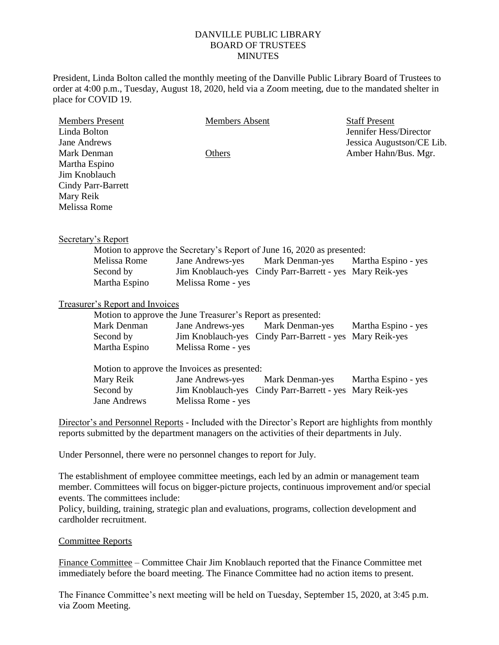## DANVILLE PUBLIC LIBRARY BOARD OF TRUSTEES **MINUTES**

President, Linda Bolton called the monthly meeting of the Danville Public Library Board of Trustees to order at 4:00 p.m., Tuesday, August 18, 2020, held via a Zoom meeting, due to the mandated shelter in place for COVID 19.

| <b>Members Present</b>          |                                                                            | Members Absent     |                                                          | <b>Staff Present</b>      |
|---------------------------------|----------------------------------------------------------------------------|--------------------|----------------------------------------------------------|---------------------------|
| Linda Bolton                    |                                                                            |                    |                                                          | Jennifer Hess/Director    |
| <b>Jane Andrews</b>             |                                                                            |                    |                                                          | Jessica Augustson/CE Lib. |
| Mark Denman                     |                                                                            | Others             |                                                          | Amber Hahn/Bus. Mgr.      |
| Martha Espino                   |                                                                            |                    |                                                          |                           |
| Jim Knoblauch                   |                                                                            |                    |                                                          |                           |
|                                 | <b>Cindy Parr-Barrett</b>                                                  |                    |                                                          |                           |
| Mary Reik                       |                                                                            |                    |                                                          |                           |
| Melissa Rome                    |                                                                            |                    |                                                          |                           |
|                                 |                                                                            |                    |                                                          |                           |
|                                 |                                                                            |                    |                                                          |                           |
|                                 | Secretary's Report                                                         |                    |                                                          |                           |
|                                 | Motion to approve the Secretary's Report of June 16, 2020 as presented:    |                    |                                                          |                           |
|                                 | Melissa Rome                                                               | Jane Andrews-yes   | Mark Denman-yes                                          | Martha Espino - yes       |
|                                 | Second by                                                                  |                    | Jim Knoblauch-yes Cindy Parr-Barrett - yes Mary Reik-yes |                           |
|                                 | Martha Espino                                                              | Melissa Rome - yes |                                                          |                           |
|                                 |                                                                            |                    |                                                          |                           |
| Treasurer's Report and Invoices |                                                                            |                    |                                                          |                           |
|                                 | Motion to approve the June Treasurer's Report as presented:<br>Mark Denman |                    |                                                          |                           |
|                                 |                                                                            | Jane Andrews-yes   | Mark Denman-yes                                          | Martha Espino - yes       |
|                                 | Second by                                                                  |                    | Jim Knoblauch-yes Cindy Parr-Barrett - yes               | Mary Reik-yes             |
|                                 | Martha Espino                                                              | Melissa Rome - yes |                                                          |                           |
|                                 | Motion to approve the Invoices as presented:                               |                    |                                                          |                           |
|                                 | Mary Reik                                                                  | Jane Andrews-yes   | Mark Denman-yes                                          | Martha Espino - yes       |
|                                 | Second by                                                                  | Jim Knoblauch-yes  | Cindy Parr-Barrett - yes Mary Reik-yes                   |                           |
|                                 | <b>Jane Andrews</b>                                                        | Melissa Rome - yes |                                                          |                           |
|                                 |                                                                            |                    |                                                          |                           |

Director's and Personnel Reports - Included with the Director's Report are highlights from monthly reports submitted by the department managers on the activities of their departments in July.

Under Personnel, there were no personnel changes to report for July.

The establishment of employee committee meetings, each led by an admin or management team member. Committees will focus on bigger-picture projects, continuous improvement and/or special events. The committees include:

Policy, building, training, strategic plan and evaluations, programs, collection development and cardholder recruitment.

## Committee Reports

Finance Committee – Committee Chair Jim Knoblauch reported that the Finance Committee met immediately before the board meeting. The Finance Committee had no action items to present.

The Finance Committee's next meeting will be held on Tuesday, September 15, 2020, at 3:45 p.m. via Zoom Meeting.